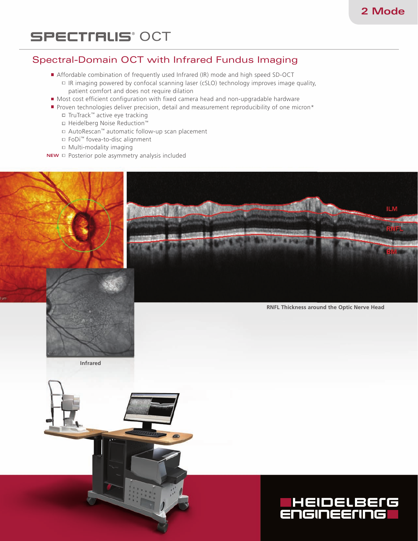# **SPECTIRLIS**<sup>°</sup> OCT

# Spectral-Domain OCT with Infrared Fundus Imaging

- Affordable combination of frequently used Infrared (IR) mode and high speed SD-OCT  $\Box$  IR imaging powered by confocal scanning laser (cSLO) technology improves image quality, patient comfort and does not require dilation
- Most cost efficient configuration with fixed camera head and non-upgradable hardware
- Proven technologies deliver precision, detail and measurement reproducibility of one micron\*
	- TruTrack™ active eye tracking
	- Heidelberg Noise Reduction™
	- AutoRescan™ automatic follow-up scan placement
	- FoDi™ fovea-to-disc alignment
	- $\Box$  Multi-modality imaging
- **NEW**  $\Box$  Posterior pole asymmetry analysis included